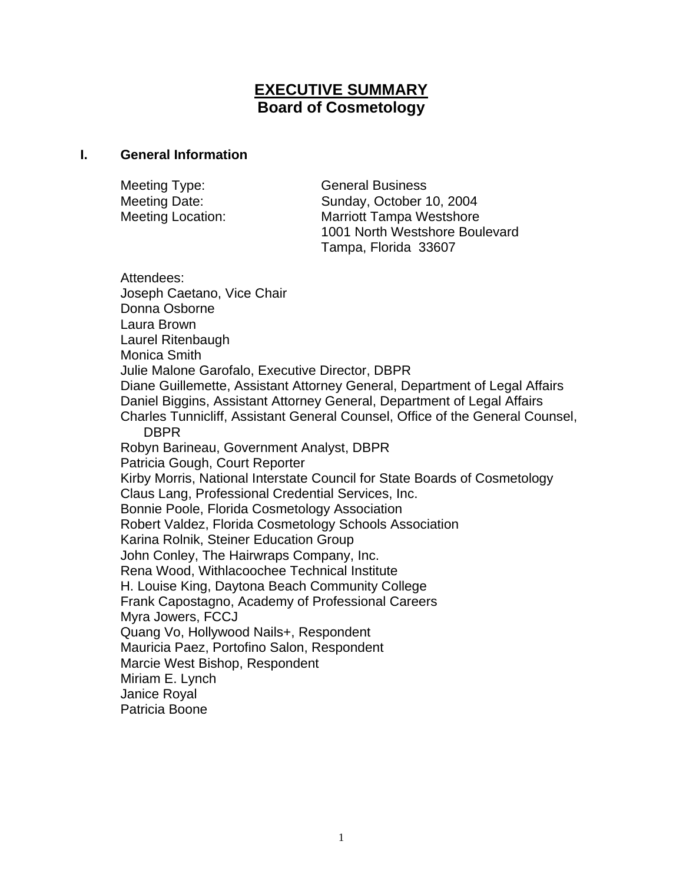# **EXECUTIVE SUMMARY Board of Cosmetology**

#### **I. General Information**

| Meeting Type:            | <b>General Business</b>         |
|--------------------------|---------------------------------|
| Meeting Date:            | Sunday, October 10, 2004        |
| <b>Meeting Location:</b> | <b>Marriott Tampa Westshore</b> |
|                          | 1001 North Westshore Boulevard  |
|                          | Tampa, Florida 33607            |

Attendees: Joseph Caetano, Vice Chair Donna Osborne Laura Brown Laurel Ritenbaugh Monica Smith Julie Malone Garofalo, Executive Director, DBPR Diane Guillemette, Assistant Attorney General, Department of Legal Affairs Daniel Biggins, Assistant Attorney General, Department of Legal Affairs Charles Tunnicliff, Assistant General Counsel, Office of the General Counsel, DBPR Robyn Barineau, Government Analyst, DBPR Patricia Gough, Court Reporter Kirby Morris, National Interstate Council for State Boards of Cosmetology Claus Lang, Professional Credential Services, Inc. Bonnie Poole, Florida Cosmetology Association Robert Valdez, Florida Cosmetology Schools Association Karina Rolnik, Steiner Education Group John Conley, The Hairwraps Company, Inc. Rena Wood, Withlacoochee Technical Institute H. Louise King, Daytona Beach Community College Frank Capostagno, Academy of Professional Careers Myra Jowers, FCCJ Quang Vo, Hollywood Nails+, Respondent Mauricia Paez, Portofino Salon, Respondent Marcie West Bishop, Respondent Miriam E. Lynch Janice Royal Patricia Boone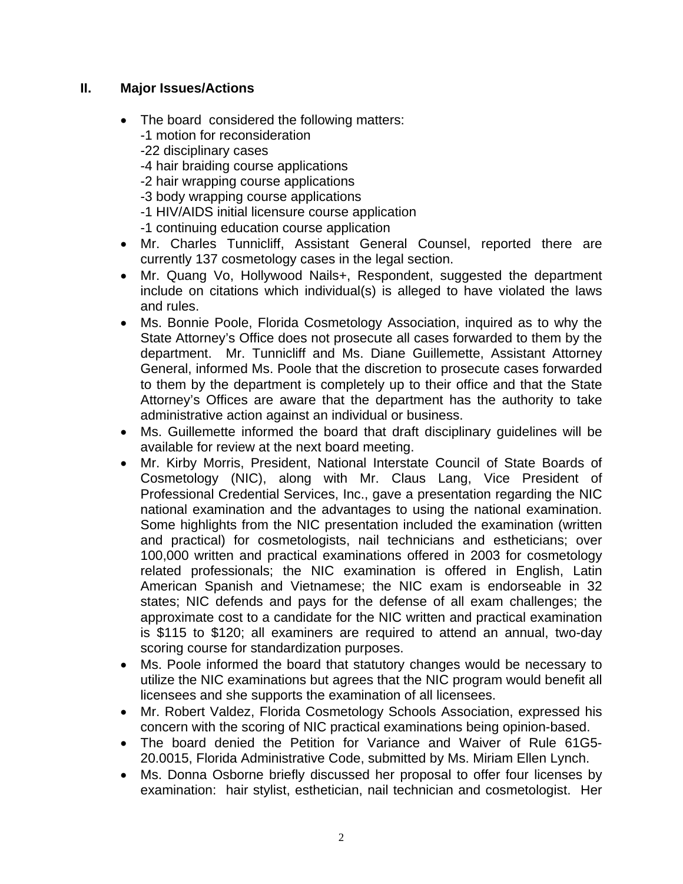### **II. Major Issues/Actions**

- The board considered the following matters: -1 motion for reconsideration -22 disciplinary cases -4 hair braiding course applications -2 hair wrapping course applications -3 body wrapping course applications -1 HIV/AIDS initial licensure course application -1 continuing education course application
- Mr. Charles Tunnicliff, Assistant General Counsel, reported there are currently 137 cosmetology cases in the legal section.
- Mr. Quang Vo, Hollywood Nails+, Respondent, suggested the department include on citations which individual(s) is alleged to have violated the laws and rules.
- Ms. Bonnie Poole, Florida Cosmetology Association, inquired as to why the State Attorney's Office does not prosecute all cases forwarded to them by the department. Mr. Tunnicliff and Ms. Diane Guillemette, Assistant Attorney General, informed Ms. Poole that the discretion to prosecute cases forwarded to them by the department is completely up to their office and that the State Attorney's Offices are aware that the department has the authority to take administrative action against an individual or business.
- Ms. Guillemette informed the board that draft disciplinary guidelines will be available for review at the next board meeting.
- Mr. Kirby Morris, President, National Interstate Council of State Boards of Cosmetology (NIC), along with Mr. Claus Lang, Vice President of Professional Credential Services, Inc., gave a presentation regarding the NIC national examination and the advantages to using the national examination. Some highlights from the NIC presentation included the examination (written and practical) for cosmetologists, nail technicians and estheticians; over 100,000 written and practical examinations offered in 2003 for cosmetology related professionals; the NIC examination is offered in English, Latin American Spanish and Vietnamese; the NIC exam is endorseable in 32 states; NIC defends and pays for the defense of all exam challenges; the approximate cost to a candidate for the NIC written and practical examination is \$115 to \$120; all examiners are required to attend an annual, two-day scoring course for standardization purposes.
- Ms. Poole informed the board that statutory changes would be necessary to utilize the NIC examinations but agrees that the NIC program would benefit all licensees and she supports the examination of all licensees.
- Mr. Robert Valdez, Florida Cosmetology Schools Association, expressed his concern with the scoring of NIC practical examinations being opinion-based.
- The board denied the Petition for Variance and Waiver of Rule 61G5- 20.0015, Florida Administrative Code, submitted by Ms. Miriam Ellen Lynch.
- Ms. Donna Osborne briefly discussed her proposal to offer four licenses by examination: hair stylist, esthetician, nail technician and cosmetologist. Her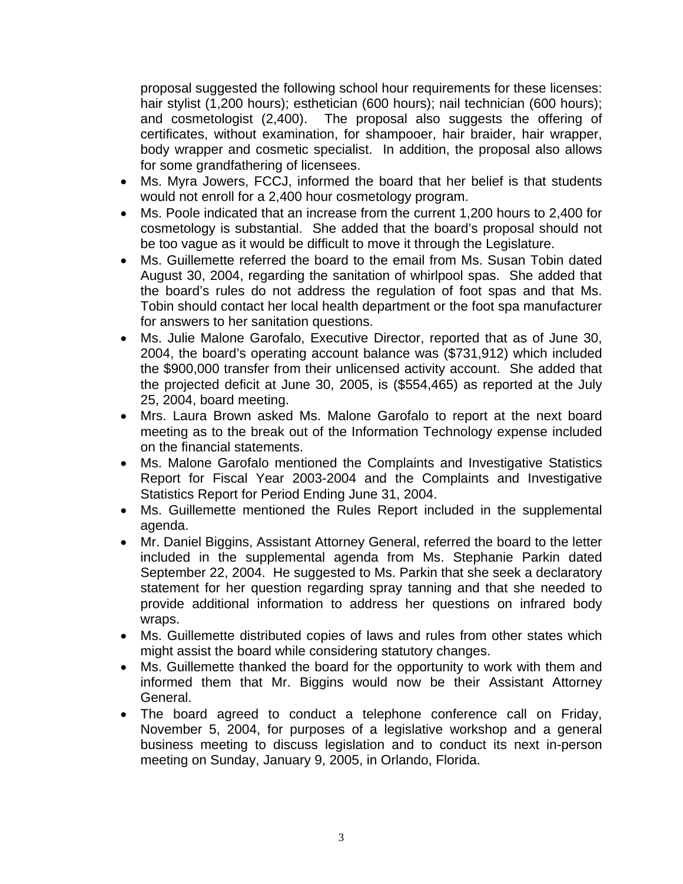proposal suggested the following school hour requirements for these licenses: hair stylist (1,200 hours); esthetician (600 hours); nail technician (600 hours); and cosmetologist (2,400). The proposal also suggests the offering of certificates, without examination, for shampooer, hair braider, hair wrapper, body wrapper and cosmetic specialist. In addition, the proposal also allows for some grandfathering of licensees.

- Ms. Myra Jowers, FCCJ, informed the board that her belief is that students would not enroll for a 2,400 hour cosmetology program.
- Ms. Poole indicated that an increase from the current 1,200 hours to 2,400 for cosmetology is substantial. She added that the board's proposal should not be too vague as it would be difficult to move it through the Legislature.
- Ms. Guillemette referred the board to the email from Ms. Susan Tobin dated August 30, 2004, regarding the sanitation of whirlpool spas. She added that the board's rules do not address the regulation of foot spas and that Ms. Tobin should contact her local health department or the foot spa manufacturer for answers to her sanitation questions.
- Ms. Julie Malone Garofalo, Executive Director, reported that as of June 30, 2004, the board's operating account balance was (\$731,912) which included the \$900,000 transfer from their unlicensed activity account. She added that the projected deficit at June 30, 2005, is (\$554,465) as reported at the July 25, 2004, board meeting.
- Mrs. Laura Brown asked Ms. Malone Garofalo to report at the next board meeting as to the break out of the Information Technology expense included on the financial statements.
- Ms. Malone Garofalo mentioned the Complaints and Investigative Statistics Report for Fiscal Year 2003-2004 and the Complaints and Investigative Statistics Report for Period Ending June 31, 2004.
- Ms. Guillemette mentioned the Rules Report included in the supplemental agenda.
- Mr. Daniel Biggins, Assistant Attorney General, referred the board to the letter included in the supplemental agenda from Ms. Stephanie Parkin dated September 22, 2004. He suggested to Ms. Parkin that she seek a declaratory statement for her question regarding spray tanning and that she needed to provide additional information to address her questions on infrared body wraps.
- Ms. Guillemette distributed copies of laws and rules from other states which might assist the board while considering statutory changes.
- Ms. Guillemette thanked the board for the opportunity to work with them and informed them that Mr. Biggins would now be their Assistant Attorney General.
- The board agreed to conduct a telephone conference call on Friday, November 5, 2004, for purposes of a legislative workshop and a general business meeting to discuss legislation and to conduct its next in-person meeting on Sunday, January 9, 2005, in Orlando, Florida.